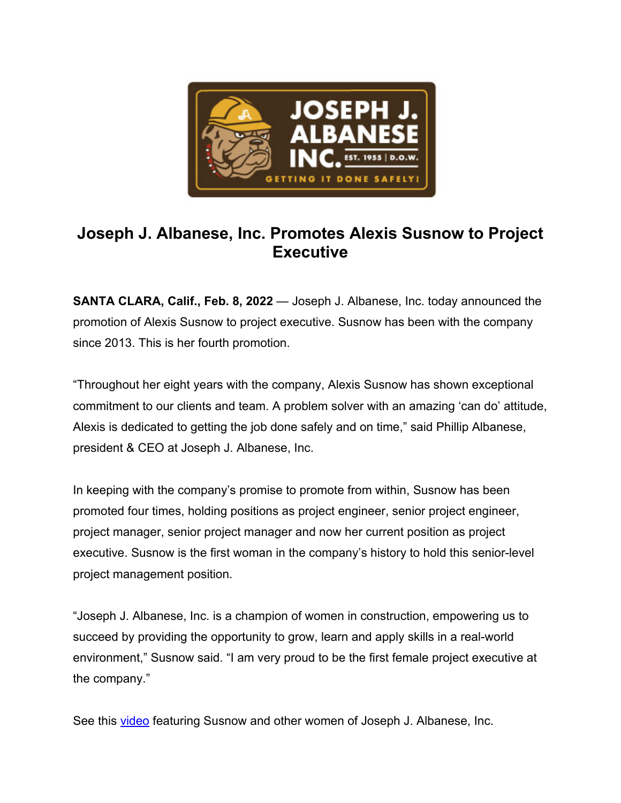

## **Joseph J. Albanese, Inc. Promotes Alexis Susnow to Project Executive**

**SANTA CLARA, Calif., Feb. 8, 2022** — Joseph J. Albanese, Inc. today announced the promotion of Alexis Susnow to project executive. Susnow has been with the company since 2013. This is her fourth promotion.

"Throughout her eight years with the company, Alexis Susnow has shown exceptional commitment to our clients and team. A problem solver with an amazing 'can do' attitude, Alexis is dedicated to getting the job done safely and on time," said Phillip Albanese, president & CEO at Joseph J. Albanese, Inc.

In keeping with the company's promise to promote from within, Susnow has been promoted four times, holding positions as project engineer, senior project engineer, project manager, senior project manager and now her current position as project executive. Susnow is the first woman in the company's history to hold this senior-level project management position.

"Joseph J. Albanese, Inc. is a champion of women in construction, empowering us to succeed by providing the opportunity to grow, learn and apply skills in a real-world environment," Susnow said. "I am very proud to be the first female project executive at the company."

See this video featuring Susnow and other women of Joseph J. Albanese, Inc.